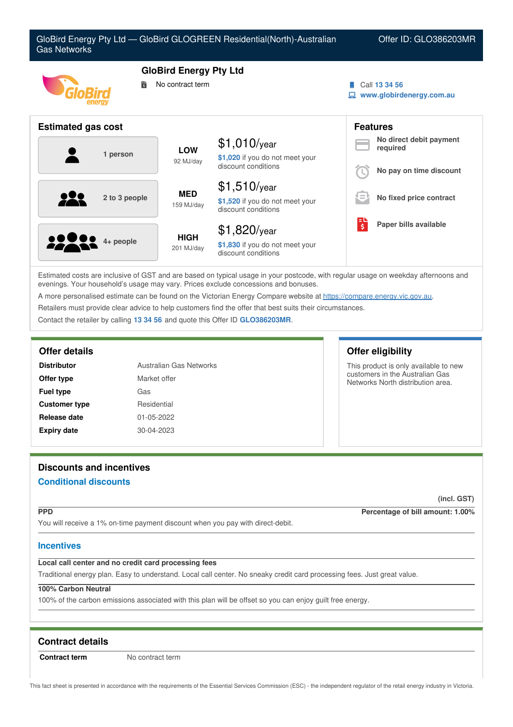

Estimated costs are inclusive of GST and are based on typical usage in your postcode, with regular usage on weekday afternoons and evenings. Your household's usage may vary. Prices exclude concessions and bonuses.

A more personalised estimate can be found on the Victorian Energy Compare website at <https://compare.energy.vic.gov.au>.

Retailers must provide clear advice to help customers find the offer that best suits their circumstances.

Contact the retailer by calling **13 34 56** and quote this Offer ID **GLO386203MR**.

| <b>Distributor</b>   | Australian Gas Networks |
|----------------------|-------------------------|
| Offer type           | Market offer            |
| <b>Fuel type</b>     | Gas                     |
| <b>Customer type</b> | Residential             |
| Release date         | 01-05-2022              |
| <b>Expiry date</b>   | 30-04-2023              |

# **Discounts and incentives Conditional discounts**

**(incl. GST)**

**PPD Percentage of bill amount: 1.00%**

You will receive a 1% on-time payment discount when you pay with direct-debit.

### **Incentives**

# **Local call center and no credit card processing fees**

Traditional energy plan. Easy to understand. Local call center. No sneaky credit card processing fees. Just great value.

# **100% Carbon Neutral**

100% of the carbon emissions associated with this plan will be offset so you can enjoy guilt free energy.

# **Contract details**

**Contract term** No contract term

This fact sheet is presented in accordance with the requirements of the Essential Services Commission (ESC) - the independent regulator of the retail energy industry in Victoria.

# **Offer details Offer eligibility**

This product is only available to new customers in the Australian Gas Networks North distribution area.